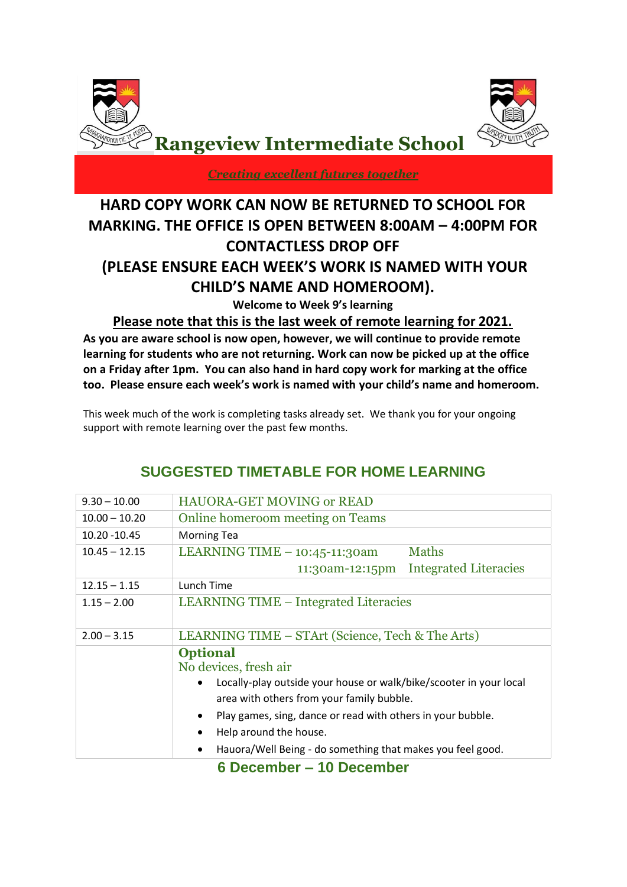



*Creating excellent futures together*

# **HARD COPY WORK CAN NOW BE RETURNED TO SCHOOL FOR MARKING. THE OFFICE IS OPEN BETWEEN 8:00AM – 4:00PM FOR CONTACTLESS DROP OFF (PLEASE ENSURE EACH WEEK'S WORK IS NAMED WITH YOUR CHILD'S NAME AND HOMEROOM).**

**Welcome to Week 9's learning**

**Please note that this is the last week of remote learning for 2021.**

**As you are aware school is now open, however, we will continue to provide remote learning for students who are not returning. Work can now be picked up at the office on a Friday after 1pm. You can also hand in hard copy work for marking at the office too. Please ensure each week's work is named with your child's name and homeroom.**

This week much of the work is completing tasks already set. We thank you for your ongoing support with remote learning over the past few months.

| $9.30 - 10.00$  | <b>HAUORA-GET MOVING or READ</b>                                         |  |  |  |  |  |
|-----------------|--------------------------------------------------------------------------|--|--|--|--|--|
| $10.00 - 10.20$ | Online homeroom meeting on Teams                                         |  |  |  |  |  |
| 10.20 - 10.45   | <b>Morning Tea</b>                                                       |  |  |  |  |  |
| $10.45 - 12.15$ | <b>Maths</b><br>LEARNING TIME $-10:45-11:30$ am                          |  |  |  |  |  |
|                 | <b>Integrated Literacies</b><br>11:30am-12:15pm                          |  |  |  |  |  |
| $12.15 - 1.15$  | Lunch Time                                                               |  |  |  |  |  |
| $1.15 - 2.00$   | <b>LEARNING TIME – Integrated Literacies</b>                             |  |  |  |  |  |
|                 |                                                                          |  |  |  |  |  |
| $2.00 - 3.15$   | LEARNING TIME – STArt (Science, Tech & The Arts)                         |  |  |  |  |  |
|                 | <b>Optional</b>                                                          |  |  |  |  |  |
|                 | No devices, fresh air                                                    |  |  |  |  |  |
|                 | Locally-play outside your house or walk/bike/scooter in your local       |  |  |  |  |  |
|                 | area with others from your family bubble.                                |  |  |  |  |  |
|                 | Play games, sing, dance or read with others in your bubble.<br>$\bullet$ |  |  |  |  |  |
|                 | Help around the house.<br>$\bullet$                                      |  |  |  |  |  |
|                 | Hauora/Well Being - do something that makes you feel good.<br>$\bullet$  |  |  |  |  |  |
|                 | 6 December – 10 December                                                 |  |  |  |  |  |

# **SUGGESTED TIMETABLE FOR HOME LEARNING**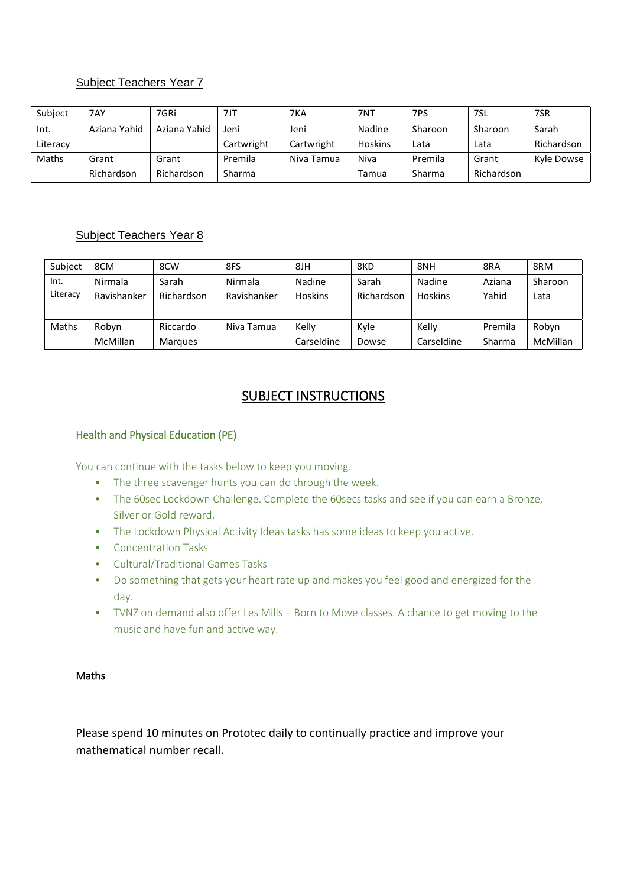# Subject Teachers Year 7

| Subject  | 7AY          | 7GRi         | 7JT        | 7KA        | 7NT            | 7PS     | 7SL        | 7SR        |
|----------|--------------|--------------|------------|------------|----------------|---------|------------|------------|
| Int.     | Aziana Yahid | Aziana Yahid | Jeni       | Jeni       | Nadine         | Sharoon | Sharoon    | Sarah      |
| Literacy |              |              | Cartwright | Cartwright | <b>Hoskins</b> | Lata    | Lata       | Richardson |
| Maths    | Grant        | Grant        | Premila    | Niva Tamua | Niva           | Premila | Grant      | Kyle Dowse |
|          | Richardson   | Richardson   | Sharma     |            | Tamua          | Sharma  | Richardson |            |

# Subject Teachers Year 8

| Subject  | 8CM             | 8CW            | 8FS         | 8JH        | 8KD        | 8NH        | 8RA     | 8RM      |
|----------|-----------------|----------------|-------------|------------|------------|------------|---------|----------|
| Int.     | Nirmala         | Sarah          | Nirmala     | Nadine     | Sarah      | Nadine     | Aziana  | Sharoon  |
| Literacy | Ravishanker     | Richardson     | Ravishanker | Hoskins    | Richardson | Hoskins    | Yahid   | Lata     |
|          |                 |                |             |            |            |            |         |          |
| Maths    | Robyn           | Riccardo       | Niva Tamua  | Kelly      | Kyle       | Kelly      | Premila | Robyn    |
|          | <b>McMillan</b> | <b>Marques</b> |             | Carseldine | Dowse      | Carseldine | Sharma  | McMillan |

# SUBJECT INSTRUCTIONS

### Health and Physical Education (PE)

You can continue with the tasks below to keep you moving.

- The three scavenger hunts you can do through the week.
- The 60sec Lockdown Challenge. Complete the 60secs tasks and see if you can earn a Bronze, Silver or Gold reward.
- The Lockdown Physical Activity Ideas tasks has some ideas to keep you active.
- Concentration Tasks
- Cultural/Traditional Games Tasks
- Do something that gets your heart rate up and makes you feel good and energized for the day.
- TVNZ on demand also offer Les Mills Born to Move classes. A chance to get moving to the music and have fun and active way.

### Maths

Please spend 10 minutes on Prototec daily to continually practice and improve your mathematical number recall.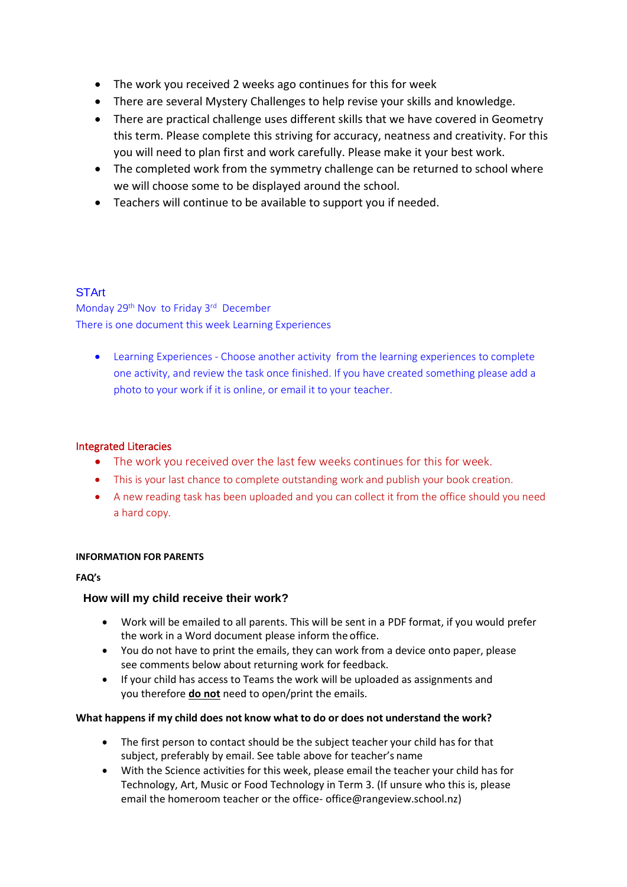- The work you received 2 weeks ago continues for this for week
- There are several Mystery Challenges to help revise your skills and knowledge.
- There are practical challenge uses different skills that we have covered in Geometry this term. Please complete this striving for accuracy, neatness and creativity. For this you will need to plan first and work carefully. Please make it your best work.
- The completed work from the symmetry challenge can be returned to school where we will choose some to be displayed around the school.
- Teachers will continue to be available to support you if needed.

### **STArt**

Monday 29<sup>th</sup> Nov to Friday 3<sup>rd</sup> December There is one document this week Learning Experiences

• Learning Experiences - Choose another activity from the learning experiences to complete one activity, and review the task once finished. If you have created something please add a photo to your work if it is online, or email it to your teacher.

#### Integrated Literacies

- The work you received over the last few weeks continues for this for week.
- This is your last chance to complete outstanding work and publish your book creation.
- A new reading task has been uploaded and you can collect it from the office should you need a hard copy.

#### **INFORMATION FOR PARENTS**

#### **FAQ's**

### **How will my child receive their work?**

- Work will be emailed to all parents. This will be sent in a PDF format, if you would prefer the work in a Word document please inform the office.
- You do not have to print the emails, they can work from a device onto paper, please see comments below about returning work for feedback.
- If your child has access to Teams the work will be uploaded as assignments and you therefore **do not** need to open/print the emails.

### **What happens if my child does not know what to do or does not understand the work?**

- The first person to contact should be the subject teacher your child has for that subject, preferably by email. See table above for teacher's name
- With the Science activities for this week, please email the teacher your child has for Technology, Art, Music or Food Technology in Term 3. (If unsure who this is, please email the homeroom teacher or the office- office@rangeview.school.nz)